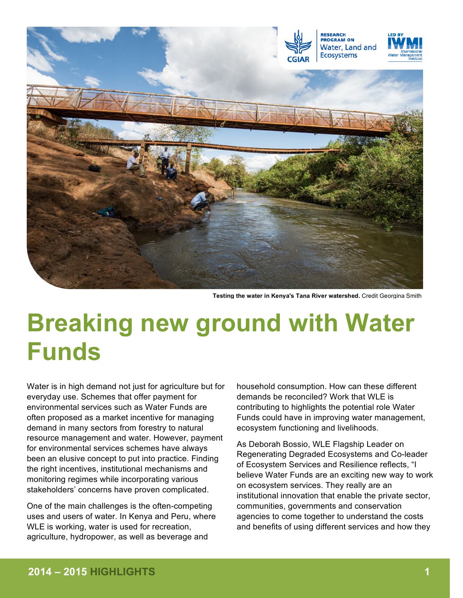

**Testing the water in Kenya's Tana River watershed.** Credit Georgina Smith

# **Breaking new ground with Water Funds**

Water is in high demand not just for agriculture but for everyday use. Schemes that offer payment for environmental services such as Water Funds are often proposed as a market incentive for managing demand in many sectors from forestry to natural resource management and water. However, payment for environmental services schemes have always been an elusive concept to put into practice. Finding the right incentives, institutional mechanisms and monitoring regimes while incorporating various stakeholders' concerns have proven complicated.

One of the main challenges is the often-competing uses and users of water. In Kenya and Peru, where WLE is working, water is used for recreation, agriculture, hydropower, as well as beverage and

household consumption. How can these different demands be reconciled? Work that WLE is contributing to highlights the potential role Water Funds could have in improving water management, ecosystem functioning and livelihoods.

As Deborah Bossio, WLE Flagship Leader on Regenerating Degraded Ecosystems and Co-leader of Ecosystem Services and Resilience reflects, "I believe Water Funds are an exciting new way to work on ecosystem services. They really are an institutional innovation that enable the private sector, communities, governments and conservation agencies to come together to understand the costs and benefits of using different services and how they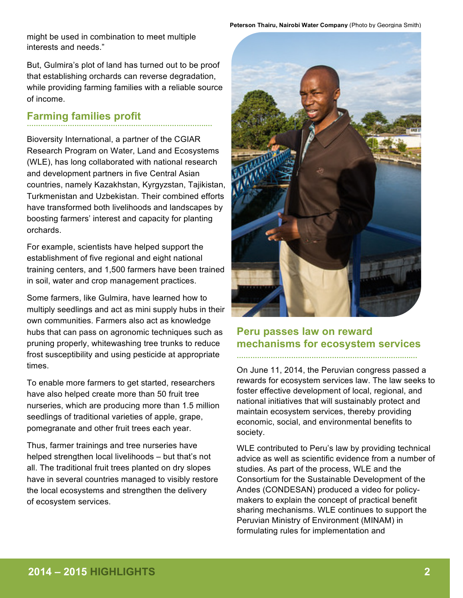might be used in combination to meet multiple interests and needs."

But, Gulmira's plot of land has turned out to be proof that establishing orchards can reverse degradation, while providing farming families with a reliable source of income.

### **Farming families profit …………………………………………………………………….…**

Bioversity International, a partner of the CGIAR Research Program on Water, Land and Ecosystems (WLE), has long collaborated with national research and development partners in five Central Asian countries, namely Kazakhstan, Kyrgyzstan, Tajikistan, Turkmenistan and Uzbekistan. Their combined efforts have transformed both livelihoods and landscapes by boosting farmers' interest and capacity for planting orchards.

For example, scientists have helped support the establishment of five regional and eight national training centers, and 1,500 farmers have been trained in soil, water and crop management practices.

Some farmers, like Gulmira, have learned how to multiply seedlings and act as mini supply hubs in their own communities. Farmers also act as knowledge hubs that can pass on agronomic techniques such as pruning properly, whitewashing tree trunks to reduce frost susceptibility and using pesticide at appropriate times.

To enable more farmers to get started, researchers have also helped create more than 50 fruit tree nurseries, which are producing more than 1.5 million seedlings of traditional varieties of apple, grape, pomegranate and other fruit trees each year.

Thus, farmer trainings and tree nurseries have helped strengthen local livelihoods – but that's not all. The traditional fruit trees planted on dry slopes have in several countries managed to visibly restore the local ecosystems and strengthen the delivery of ecosystem services.



## **Peru passes law on reward mechanisms for ecosystem services**

**……………………………………………………………….….…**

On June 11, 2014, the Peruvian congress passed a rewards for ecosystem services law. The law seeks to foster effective development of local, regional, and national initiatives that will sustainably protect and maintain ecosystem services, thereby providing economic, social, and environmental benefits to society.

WLE contributed to Peru's law by providing technical advice as well as scientific evidence from a number of studies. As part of the process, WLE and the Consortium for the Sustainable Development of the Andes (CONDESAN) produced a video for policymakers to explain the concept of practical benefit sharing mechanisms. WLE continues to support the Peruvian Ministry of Environment (MINAM) in formulating rules for implementation and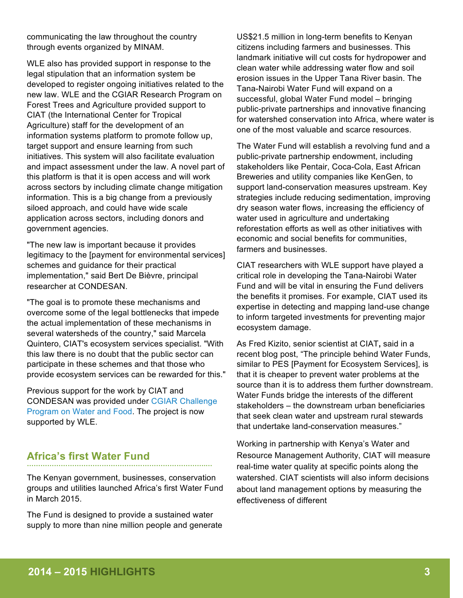communicating the law throughout the country through events organized by MINAM.

WLE also has provided support in response to the legal stipulation that an information system be developed to register ongoing initiatives related to the new law. WLE and the CGIAR Research Program on Forest Trees and Agriculture provided support to CIAT (the International Center for Tropical Agriculture) staff for the development of an information systems platform to promote follow up, target support and ensure learning from such initiatives. This system will also facilitate evaluation and impact assessment under the law. A novel part of this platform is that it is open access and will work across sectors by including climate change mitigation information. This is a big change from a previously siloed approach, and could have wide scale application across sectors, including donors and government agencies.

"The new law is important because it provides legitimacy to the [payment for environmental services] schemes and guidance for their practical implementation," said Bert De Bièvre, principal researcher at CONDESAN.

"The goal is to promote these mechanisms and overcome some of the legal bottlenecks that impede the actual implementation of these mechanisms in several watersheds of the country," said Marcela Quintero, CIAT's ecosystem services specialist. "With this law there is no doubt that the public sector can participate in these schemes and that those who provide ecosystem services can be rewarded for this."

Previous support for the work by CIAT and CONDESAN was provided under CGIAR Challenge Program on Water and Food. The project is now supported by WLE.

## **Africa's first Water Fund …………………………………………………………………….…**

The Kenyan government, businesses, conservation groups and utilities launched Africa's first Water Fund in March 2015.

The Fund is designed to provide a sustained water supply to more than nine million people and generate US\$21.5 million in long-term benefits to Kenyan citizens including farmers and businesses. This landmark initiative will cut costs for hydropower and clean water while addressing water flow and soil erosion issues in the Upper Tana River basin. The Tana-Nairobi Water Fund will expand on a successful, global Water Fund model – bringing public-private partnerships and innovative financing for watershed conservation into Africa, where water is one of the most valuable and scarce resources.

The Water Fund will establish a revolving fund and a public-private partnership endowment, including stakeholders like Pentair, Coca-Cola, East African Breweries and utility companies like KenGen, to support land-conservation measures upstream. Key strategies include reducing sedimentation, improving dry season water flows, increasing the efficiency of water used in agriculture and undertaking reforestation efforts as well as other initiatives with economic and social benefits for communities, farmers and businesses.

CIAT researchers with WLE support have played a critical role in developing the Tana-Nairobi Water Fund and will be vital in ensuring the Fund delivers the benefits it promises. For example, CIAT used its expertise in detecting and mapping land-use change to inform targeted investments for preventing major ecosystem damage.

As Fred Kizito, senior scientist at CIAT**,** said in a recent blog post, "The principle behind Water Funds, similar to PES [Payment for Ecosystem Services], is that it is cheaper to prevent water problems at the source than it is to address them further downstream. Water Funds bridge the interests of the different stakeholders – the downstream urban beneficiaries that seek clean water and upstream rural stewards that undertake land-conservation measures."

Working in partnership with Kenya's Water and Resource Management Authority, CIAT will measure real-time water quality at specific points along the watershed. CIAT scientists will also inform decisions about land management options by measuring the effectiveness of different